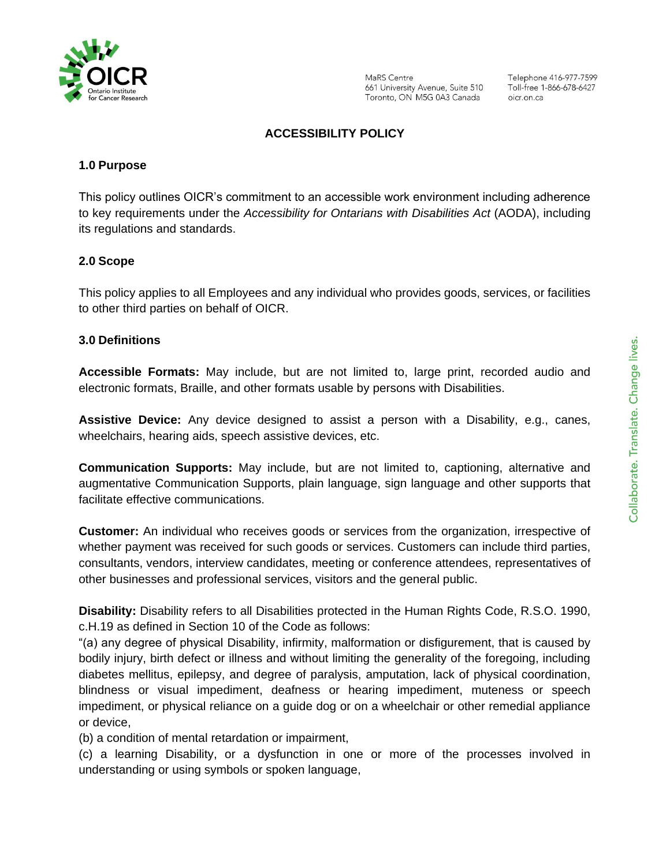

MaRS Centre 661 University Avenue, Suite 510 Toronto, ON M5G 0A3 Canada

Telephone 416-977-7599 Toll-free 1-866-678-6427 oicr on ca

### **ACCESSIBILITY POLICY**

### **1.0 Purpose**

This policy outlines OICR's commitment to an accessible work environment including adherence to key requirements under the *Accessibility for Ontarians with Disabilities Act* (AODA), including its regulations and standards.

#### **2.0 Scope**

This policy applies to all Employees and any individual who provides goods, services, or facilities to other third parties on behalf of OICR.

#### **3.0 Definitions**

**Accessible Formats:** May include, but are not limited to, large print, recorded audio and electronic formats, Braille, and other formats usable by persons with Disabilities.

**Assistive Device:** Any device designed to assist a person with a Disability, e.g., canes, wheelchairs, hearing aids, speech assistive devices, etc.

**Communication Supports:** May include, but are not limited to, captioning, alternative and augmentative Communication Supports, plain language, sign language and other supports that facilitate effective communications.

**Customer:** An individual who receives goods or services from the organization, irrespective of whether payment was received for such goods or services. Customers can include third parties, consultants, vendors, interview candidates, meeting or conference attendees, representatives of other businesses and professional services, visitors and the general public.

**Disability:** Disability refers to all Disabilities protected in the Human Rights Code, R.S.O. 1990, c.H.19 as defined in Section 10 of the Code as follows:

"(a) any degree of physical Disability, infirmity, malformation or disfigurement, that is caused by bodily injury, birth defect or illness and without limiting the generality of the foregoing, including diabetes mellitus, epilepsy, and degree of paralysis, amputation, lack of physical coordination, blindness or visual impediment, deafness or hearing impediment, muteness or speech impediment, or physical reliance on a guide dog or on a wheelchair or other remedial appliance or device,

(b) a condition of mental retardation or impairment,

(c) a learning Disability, or a dysfunction in one or more of the processes involved in understanding or using symbols or spoken language,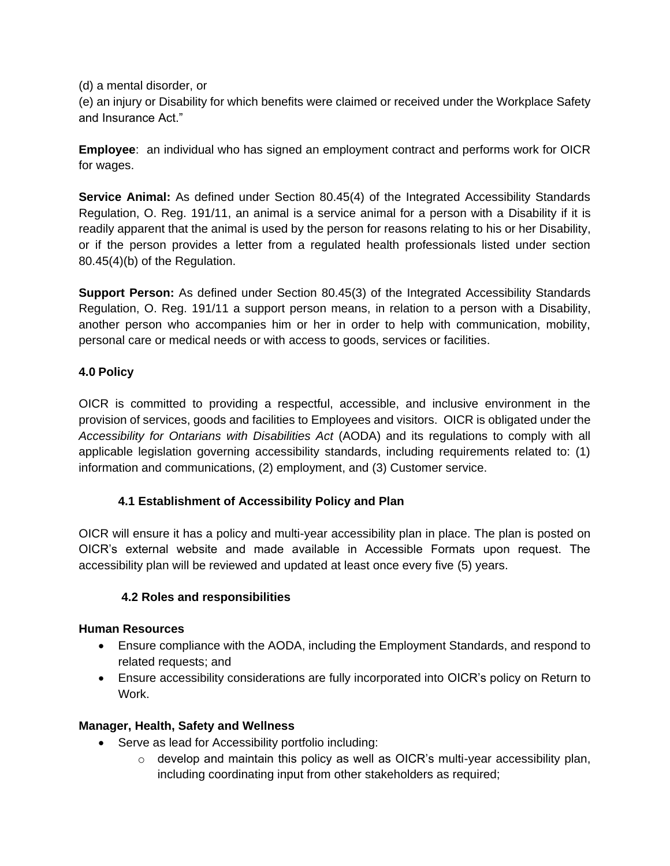(d) a mental disorder, or

(e) an injury or Disability for which benefits were claimed or received under the Workplace Safety and Insurance Act."

**Employee**: an individual who has signed an employment contract and performs work for OICR for wages.

**Service Animal:** As defined under Section 80.45(4) of the Integrated Accessibility Standards Regulation, O. Reg. 191/11, an animal is a service animal for a person with a Disability if it is readily apparent that the animal is used by the person for reasons relating to his or her Disability, or if the person provides a letter from a regulated health professionals listed under section 80.45(4)(b) of the Regulation.

**Support Person:** As defined under Section 80.45(3) of the Integrated Accessibility Standards Regulation, O. Reg. 191/11 a support person means, in relation to a person with a Disability, another person who accompanies him or her in order to help with communication, mobility, personal care or medical needs or with access to goods, services or facilities.

# **4.0 Policy**

OICR is committed to providing a respectful, accessible, and inclusive environment in the provision of services, goods and facilities to Employees and visitors. OICR is obligated under the *Accessibility for Ontarians with Disabilities Act* (AODA) and its regulations to comply with all applicable legislation governing accessibility standards, including requirements related to: (1) information and communications, (2) employment, and (3) Customer service.

# **4.1 Establishment of Accessibility Policy and Plan**

OICR will ensure it has a policy and multi-year accessibility plan in place. The plan is posted on OICR's external website and made available in Accessible Formats upon request. The accessibility plan will be reviewed and updated at least once every five (5) years.

# **4.2 Roles and responsibilities**

# **Human Resources**

- Ensure compliance with the AODA, including the Employment Standards, and respond to related requests; and
- Ensure accessibility considerations are fully incorporated into OICR's policy on Return to Work.

# **Manager, Health, Safety and Wellness**

- Serve as lead for Accessibility portfolio including:
	- $\circ$  develop and maintain this policy as well as OICR's multi-year accessibility plan, including coordinating input from other stakeholders as required;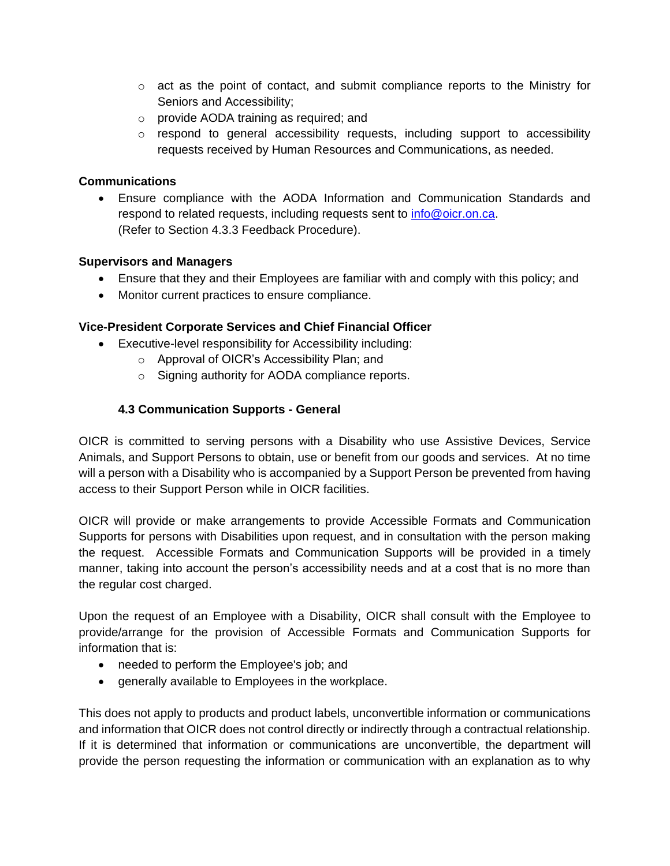- $\circ$  act as the point of contact, and submit compliance reports to the Ministry for Seniors and Accessibility;
- o provide AODA training as required; and
- $\circ$  respond to general accessibility requests, including support to accessibility requests received by Human Resources and Communications, as needed.

### **Communications**

• Ensure compliance with the AODA Information and Communication Standards and respond to related requests, including requests sent to [info@oicr.on.ca.](mailto:info@oicr.on.ca) (Refer to Section 4.3.3 Feedback Procedure).

#### **Supervisors and Managers**

- Ensure that they and their Employees are familiar with and comply with this policy; and
- Monitor current practices to ensure compliance.

### **Vice-President Corporate Services and Chief Financial Officer**

- Executive-level responsibility for Accessibility including:
	- o Approval of OICR's Accessibility Plan; and
	- o Signing authority for AODA compliance reports.

## **4.3 Communication Supports - General**

OICR is committed to serving persons with a Disability who use Assistive Devices, Service Animals, and Support Persons to obtain, use or benefit from our goods and services. At no time will a person with a Disability who is accompanied by a Support Person be prevented from having access to their Support Person while in OICR facilities.

OICR will provide or make arrangements to provide Accessible Formats and Communication Supports for persons with Disabilities upon request, and in consultation with the person making the request. Accessible Formats and Communication Supports will be provided in a timely manner, taking into account the person's accessibility needs and at a cost that is no more than the regular cost charged.

Upon the request of an Employee with a Disability, OICR shall consult with the Employee to provide/arrange for the provision of Accessible Formats and Communication Supports for information that is:

- needed to perform the Employee's job; and
- generally available to Employees in the workplace.

This does not apply to products and product labels, unconvertible information or communications and information that OICR does not control directly or indirectly through a contractual relationship. If it is determined that information or communications are unconvertible, the department will provide the person requesting the information or communication with an explanation as to why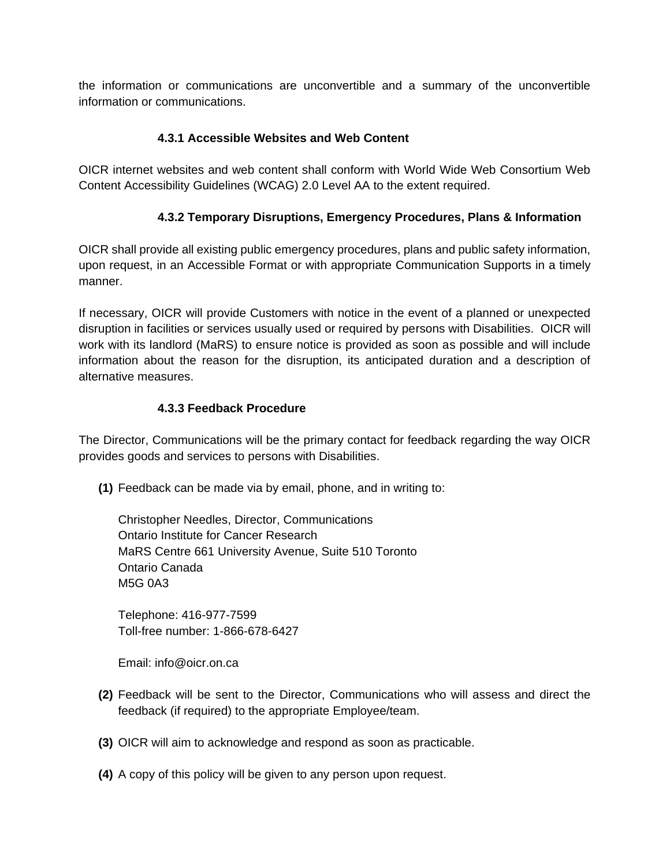the information or communications are unconvertible and a summary of the unconvertible information or communications.

## **4.3.1 Accessible Websites and Web Content**

OICR internet websites and web content shall conform with World Wide Web Consortium Web Content Accessibility Guidelines (WCAG) 2.0 Level AA to the extent required.

## **4.3.2 Temporary Disruptions, Emergency Procedures, Plans & Information**

OICR shall provide all existing public emergency procedures, plans and public safety information, upon request, in an Accessible Format or with appropriate Communication Supports in a timely manner.

If necessary, OICR will provide Customers with notice in the event of a planned or unexpected disruption in facilities or services usually used or required by persons with Disabilities. OICR will work with its landlord (MaRS) to ensure notice is provided as soon as possible and will include information about the reason for the disruption, its anticipated duration and a description of alternative measures.

## **4.3.3 Feedback Procedure**

The Director, Communications will be the primary contact for feedback regarding the way OICR provides goods and services to persons with Disabilities.

**(1)** Feedback can be made via by email, phone, and in writing to:

Christopher Needles, Director, Communications Ontario Institute for Cancer Research MaRS Centre 661 University Avenue, Suite 510 Toronto Ontario Canada M5G 0A3

Telephone: 416-977-7599 Toll-free number: 1-866-678-6427

Email: info@oicr.on.ca

- **(2)** Feedback will be sent to the Director, Communications who will assess and direct the feedback (if required) to the appropriate Employee/team.
- **(3)** OICR will aim to acknowledge and respond as soon as practicable.
- **(4)** A copy of this policy will be given to any person upon request.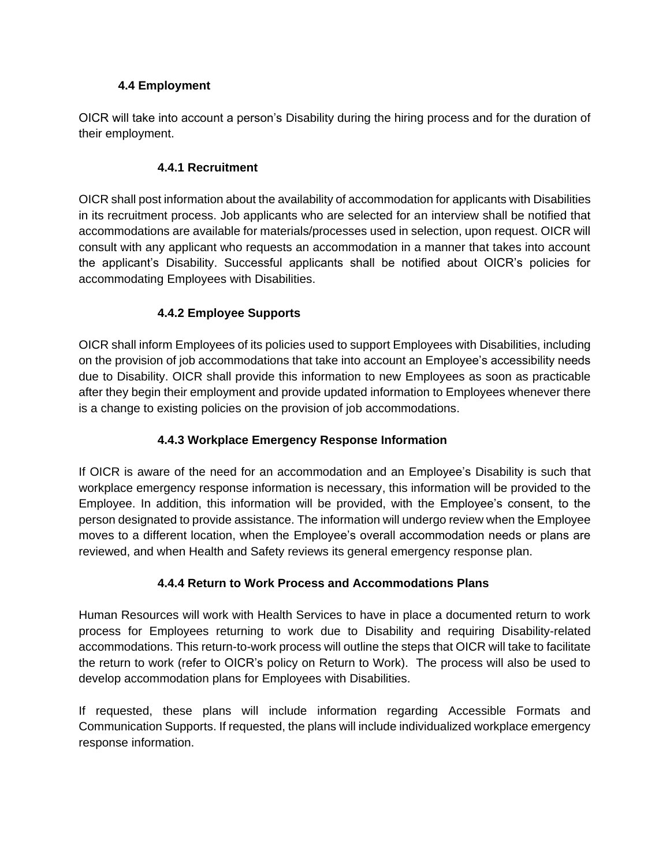## **4.4 Employment**

OICR will take into account a person's Disability during the hiring process and for the duration of their employment.

## **4.4.1 Recruitment**

OICR shall post information about the availability of accommodation for applicants with Disabilities in its recruitment process. Job applicants who are selected for an interview shall be notified that accommodations are available for materials/processes used in selection, upon request. OICR will consult with any applicant who requests an accommodation in a manner that takes into account the applicant's Disability. Successful applicants shall be notified about OICR's policies for accommodating Employees with Disabilities.

# **4.4.2 Employee Supports**

OICR shall inform Employees of its policies used to support Employees with Disabilities, including on the provision of job accommodations that take into account an Employee's accessibility needs due to Disability. OICR shall provide this information to new Employees as soon as practicable after they begin their employment and provide updated information to Employees whenever there is a change to existing policies on the provision of job accommodations.

# **4.4.3 Workplace Emergency Response Information**

If OICR is aware of the need for an accommodation and an Employee's Disability is such that workplace emergency response information is necessary, this information will be provided to the Employee. In addition, this information will be provided, with the Employee's consent, to the person designated to provide assistance. The information will undergo review when the Employee moves to a different location, when the Employee's overall accommodation needs or plans are reviewed, and when Health and Safety reviews its general emergency response plan.

# **4.4.4 Return to Work Process and Accommodations Plans**

Human Resources will work with Health Services to have in place a documented return to work process for Employees returning to work due to Disability and requiring Disability-related accommodations. This return-to-work process will outline the steps that OICR will take to facilitate the return to work (refer to OICR's policy on Return to Work). The process will also be used to develop accommodation plans for Employees with Disabilities.

If requested, these plans will include information regarding Accessible Formats and Communication Supports. If requested, the plans will include individualized workplace emergency response information.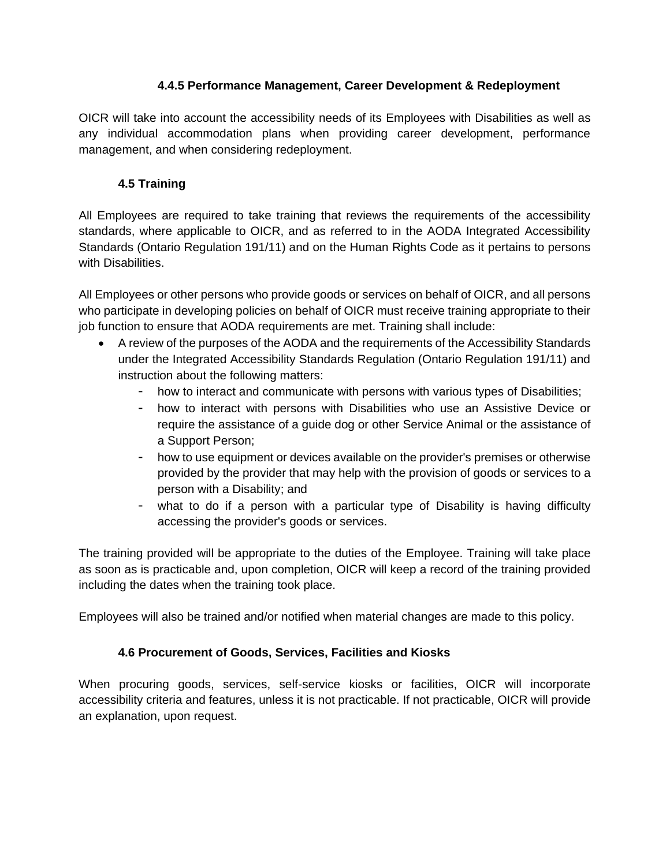## **4.4.5 Performance Management, Career Development & Redeployment**

OICR will take into account the accessibility needs of its Employees with Disabilities as well as any individual accommodation plans when providing career development, performance management, and when considering redeployment.

# **4.5 Training**

All Employees are required to take training that reviews the requirements of the accessibility standards, where applicable to OICR, and as referred to in the AODA Integrated Accessibility Standards (Ontario Regulation 191/11) and on the Human Rights Code as it pertains to persons with Disabilities.

All Employees or other persons who provide goods or services on behalf of OICR, and all persons who participate in developing policies on behalf of OICR must receive training appropriate to their job function to ensure that AODA requirements are met. Training shall include:

- A review of the purposes of the AODA and the requirements of the Accessibility Standards under the Integrated Accessibility Standards Regulation (Ontario Regulation 191/11) and instruction about the following matters:
	- how to interact and communicate with persons with various types of Disabilities;
	- how to interact with persons with Disabilities who use an Assistive Device or require the assistance of a guide dog or other Service Animal or the assistance of a Support Person;
	- how to use equipment or devices available on the provider's premises or otherwise provided by the provider that may help with the provision of goods or services to a person with a Disability; and
	- what to do if a person with a particular type of Disability is having difficulty accessing the provider's goods or services.

The training provided will be appropriate to the duties of the Employee. Training will take place as soon as is practicable and, upon completion, OICR will keep a record of the training provided including the dates when the training took place.

Employees will also be trained and/or notified when material changes are made to this policy.

# **4.6 Procurement of Goods, Services, Facilities and Kiosks**

When procuring goods, services, self-service kiosks or facilities, OICR will incorporate accessibility criteria and features, unless it is not practicable. If not practicable, OICR will provide an explanation, upon request.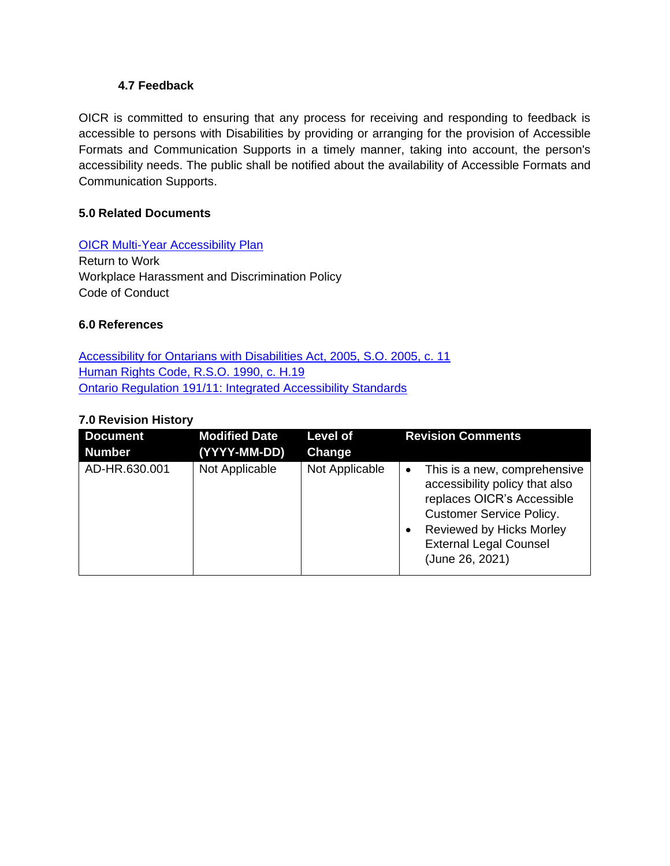### **4.7 Feedback**

OICR is committed to ensuring that any process for receiving and responding to feedback is accessible to persons with Disabilities by providing or arranging for the provision of Accessible Formats and Communication Supports in a timely manner, taking into account, the person's accessibility needs. The public shall be notified about the availability of Accessible Formats and Communication Supports.

### **5.0 Related Documents**

### [OICR Multi-Year Accessibility Plan](https://oicr.on.ca/wp-content/uploads/2020/02/OICR-Accessibility-Plan-2020-02-12v2.pdf)

Return to Work Workplace Harassment and Discrimination Policy Code of Conduct

#### **6.0 References**

[Accessibility for Ontarians with Disabilities Act, 2005, S.O. 2005, c. 11](https://www.ontario.ca/laws/statute/05a11) [Human Rights Code, R.S.O. 1990, c. H.19](https://www.ontario.ca/laws/statute/90h19) [Ontario Regulation 191/11: Integrated Accessibility Standards](https://www.ontario.ca/laws/regulation/110191)

#### **7.0 Revision History**

| <b>Document</b> | <b>Modified Date</b> | <b>Level of</b> | <b>Revision Comments</b>                                                                                                                                                                                                     |  |
|-----------------|----------------------|-----------------|------------------------------------------------------------------------------------------------------------------------------------------------------------------------------------------------------------------------------|--|
| <b>Number</b>   | (YYYY-MM-DD)         | Change          |                                                                                                                                                                                                                              |  |
| AD-HR.630.001   | Not Applicable       | Not Applicable  | This is a new, comprehensive<br>$\bullet$<br>accessibility policy that also<br>replaces OICR's Accessible<br><b>Customer Service Policy.</b><br>Reviewed by Hicks Morley<br><b>External Legal Counsel</b><br>(June 26, 2021) |  |